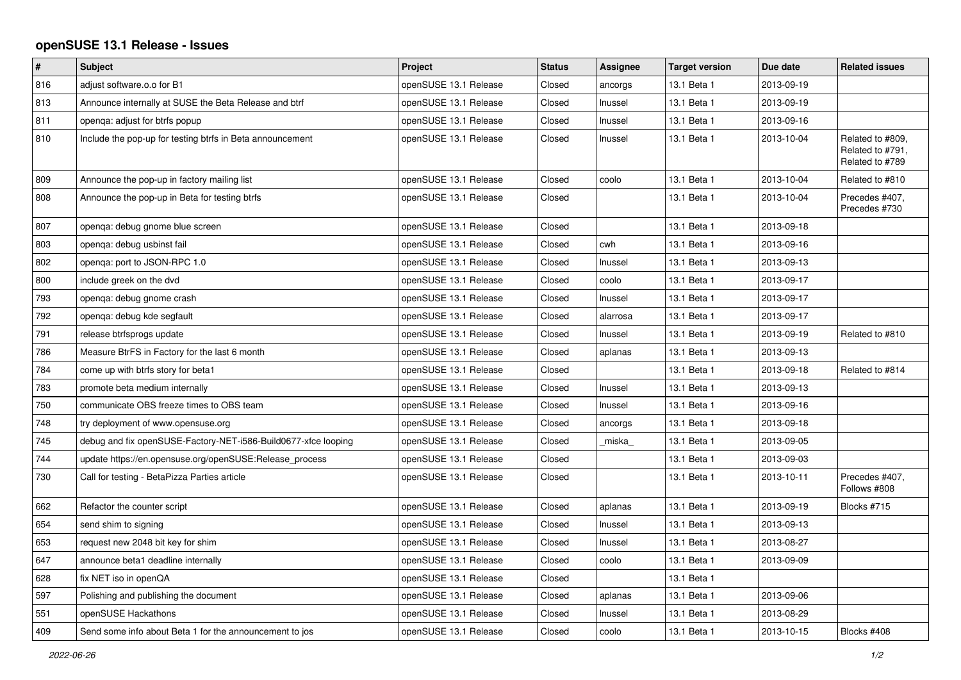## **openSUSE 13.1 Release - Issues**

| $\#$ | <b>Subject</b>                                                 | Project               | <b>Status</b> | Assignee | <b>Target version</b> | Due date   | <b>Related issues</b>                                   |
|------|----------------------------------------------------------------|-----------------------|---------------|----------|-----------------------|------------|---------------------------------------------------------|
| 816  | adjust software.o.o for B1                                     | openSUSE 13.1 Release | Closed        | ancorgs  | 13.1 Beta 1           | 2013-09-19 |                                                         |
| 813  | Announce internally at SUSE the Beta Release and btrf          | openSUSE 13.1 Release | Closed        | Inussel  | 13.1 Beta 1           | 2013-09-19 |                                                         |
| 811  | openga: adjust for btrfs popup                                 | openSUSE 13.1 Release | Closed        | Inussel  | 13.1 Beta 1           | 2013-09-16 |                                                         |
| 810  | Include the pop-up for testing btrfs in Beta announcement      | openSUSE 13.1 Release | Closed        | Inussel  | 13.1 Beta 1           | 2013-10-04 | Related to #809.<br>Related to #791,<br>Related to #789 |
| 809  | Announce the pop-up in factory mailing list                    | openSUSE 13.1 Release | Closed        | coolo    | 13.1 Beta 1           | 2013-10-04 | Related to #810                                         |
| 808  | Announce the pop-up in Beta for testing btrfs                  | openSUSE 13.1 Release | Closed        |          | 13.1 Beta 1           | 2013-10-04 | Precedes #407,<br>Precedes #730                         |
| 807  | openga: debug gnome blue screen                                | openSUSE 13.1 Release | Closed        |          | 13.1 Beta 1           | 2013-09-18 |                                                         |
| 803  | openga: debug usbinst fail                                     | openSUSE 13.1 Release | Closed        | cwh      | 13.1 Beta 1           | 2013-09-16 |                                                         |
| 802  | openga: port to JSON-RPC 1.0                                   | openSUSE 13.1 Release | Closed        | Inussel  | 13.1 Beta 1           | 2013-09-13 |                                                         |
| 800  | include greek on the dvd                                       | openSUSE 13.1 Release | Closed        | coolo    | 13.1 Beta 1           | 2013-09-17 |                                                         |
| 793  | openga: debug gnome crash                                      | openSUSE 13.1 Release | Closed        | Inussel  | 13.1 Beta 1           | 2013-09-17 |                                                         |
| 792  | openga: debug kde segfault                                     | openSUSE 13.1 Release | Closed        | alarrosa | 13.1 Beta 1           | 2013-09-17 |                                                         |
| 791  | release btrfsprogs update                                      | openSUSE 13.1 Release | Closed        | Inussel  | 13.1 Beta 1           | 2013-09-19 | Related to #810                                         |
| 786  | Measure BtrFS in Factory for the last 6 month                  | openSUSE 13.1 Release | Closed        | aplanas  | 13.1 Beta 1           | 2013-09-13 |                                                         |
| 784  | come up with btrfs story for beta1                             | openSUSE 13.1 Release | Closed        |          | 13.1 Beta 1           | 2013-09-18 | Related to #814                                         |
| 783  | promote beta medium internally                                 | openSUSE 13.1 Release | Closed        | Inussel  | 13.1 Beta 1           | 2013-09-13 |                                                         |
| 750  | communicate OBS freeze times to OBS team                       | openSUSE 13.1 Release | Closed        | Inussel  | 13.1 Beta 1           | 2013-09-16 |                                                         |
| 748  | try deployment of www.opensuse.org                             | openSUSE 13.1 Release | Closed        | ancorgs  | 13.1 Beta 1           | 2013-09-18 |                                                         |
| 745  | debug and fix openSUSE-Factory-NET-i586-Build0677-xfce looping | openSUSE 13.1 Release | Closed        | miska    | 13.1 Beta 1           | 2013-09-05 |                                                         |
| 744  | update https://en.opensuse.org/openSUSE:Release process        | openSUSE 13.1 Release | Closed        |          | 13.1 Beta 1           | 2013-09-03 |                                                         |
| 730  | Call for testing - BetaPizza Parties article                   | openSUSE 13.1 Release | Closed        |          | 13.1 Beta 1           | 2013-10-11 | Precedes #407,<br>Follows #808                          |
| 662  | Refactor the counter script                                    | openSUSE 13.1 Release | Closed        | aplanas  | 13.1 Beta 1           | 2013-09-19 | Blocks #715                                             |
| 654  | send shim to signing                                           | openSUSE 13.1 Release | Closed        | Inussel  | 13.1 Beta 1           | 2013-09-13 |                                                         |
| 653  | request new 2048 bit key for shim                              | openSUSE 13.1 Release | Closed        | Inussel  | 13.1 Beta 1           | 2013-08-27 |                                                         |
| 647  | announce beta1 deadline internally                             | openSUSE 13.1 Release | Closed        | coolo    | 13.1 Beta 1           | 2013-09-09 |                                                         |
| 628  | fix NET iso in openQA                                          | openSUSE 13.1 Release | Closed        |          | 13.1 Beta 1           |            |                                                         |
| 597  | Polishing and publishing the document                          | openSUSE 13.1 Release | Closed        | aplanas  | 13.1 Beta 1           | 2013-09-06 |                                                         |
| 551  | openSUSE Hackathons                                            | openSUSE 13.1 Release | Closed        | Inussel  | 13.1 Beta 1           | 2013-08-29 |                                                         |
| 409  | Send some info about Beta 1 for the announcement to jos        | openSUSE 13.1 Release | Closed        | coolo    | 13.1 Beta 1           | 2013-10-15 | Blocks #408                                             |